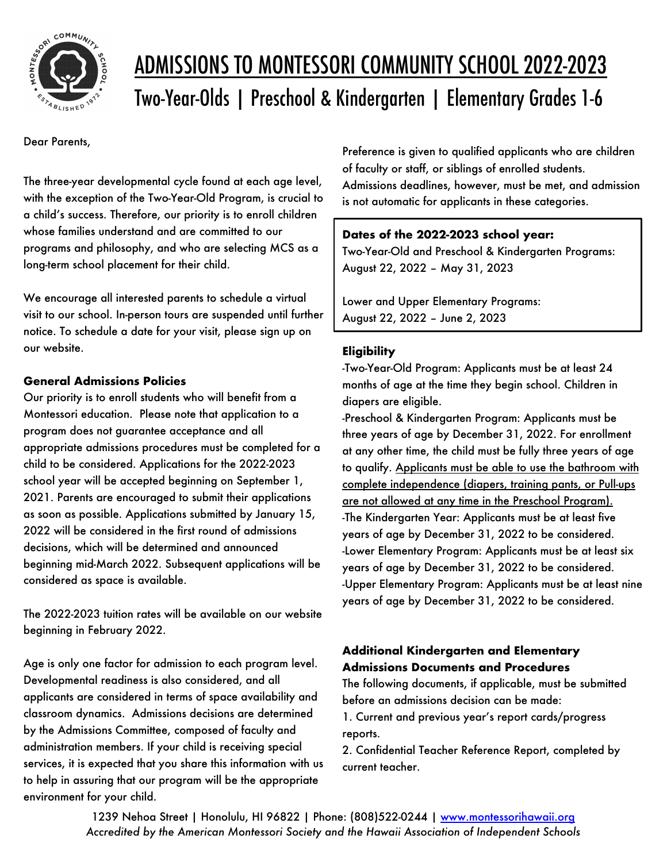

# ADMISSIONS TO MONTESSORI COMMUNITY SCHOOL 2022-2023 Two-Year-Olds | Preschool & Kindergarten | Elementary Grades 1-6

Dear Parents,

The three-year developmental cycle found at each age level, with the exception of the Two-Year-Old Program, is crucial to a child's success. Therefore, our priority is to enroll children whose families understand and are committed to our programs and philosophy, and who are selecting MCS as a long-term school placement for their child.

We encourage all interested parents to schedule a virtual visit to our school. In-person tours are suspended until further notice. To schedule a date for your visit, please sign up on our website.

#### **General Admissions Policies**

Our priority is to enroll students who will benefit from a Montessori education. Please note that application to a program does not guarantee acceptance and all appropriate admissions procedures must be completed for a child to be considered. Applications for the 2022-2023 school year will be accepted beginning on September 1, 2021. Parents are encouraged to submit their applications as soon as possible. Applications submitted by January 15, 2022 will be considered in the first round of admissions decisions, which will be determined and announced beginning mid-March 2022. Subsequent applications will be considered as space is available.

The 2022-2023 tuition rates will be available on our website beginning in February 2022.

Age is only one factor for admission to each program level. Developmental readiness is also considered, and all applicants are considered in terms of space availability and classroom dynamics. Admissions decisions are determined by the Admissions Committee, composed of faculty and administration members. If your child is receiving special services, it is expected that you share this information with us to help in assuring that our program will be the appropriate environment for your child.

Preference is given to qualified applicants who are children of faculty or staff, or siblings of enrolled students. Admissions deadlines, however, must be met, and admission is not automatic for applicants in these categories.

## **Dates of the 2022-2023 school year:**

Two-Year-Old and Preschool & Kindergarten Programs: August 22, 2022 – May 31, 2023

Lower and Upper Elementary Programs: August 22, 2022 – June 2, 2023

# **Eligibility**

-Two-Year-Old Program: Applicants must be at least 24 months of age at the time they begin school. Children in diapers are eligible.

-Preschool & Kindergarten Program: Applicants must be three years of age by December 31, 2022. For enrollment at any other time, the child must be fully three years of age to qualify. Applicants must be able to use the bathroom with complete independence (diapers, training pants, or Pull-ups are not allowed at any time in the Preschool Program). -The Kindergarten Year: Applicants must be at least five years of age by December 31, 2022 to be considered. -Lower Elementary Program: Applicants must be at least six years of age by December 31, 2022 to be considered. -Upper Elementary Program: Applicants must be at least nine years of age by December 31, 2022 to be considered.

# **Additional Kindergarten and Elementary Admissions Documents and Procedures**

The following documents, if applicable, must be submitted before an admissions decision can be made:

1. Current and previous year's report cards/progress reports.

2. Confidential Teacher Reference Report, completed by current teacher.

1239 Nehoa Street | Honolulu, HI 96822 | Phone: (808)522-0244 | www.montessorihawaii.org *Accredited by the American Montessori Society and the Hawaii Association of Independent Schools*